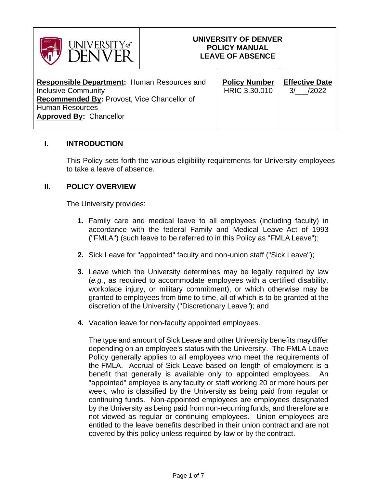

## **UNIVERSITY OF DENVER POLICY MANUAL LEAVE OF ABSENCE**

| <b>Responsible Department: Human Resources and</b><br><b>Inclusive Community</b><br>Recommended By: Provost, Vice Chancellor of<br><b>Human Resources</b><br><b>Approved By: Chancellor</b> | <b>Policy Number</b><br>HRIC 3.30.010 | <b>Effective Date</b><br>/2022<br>$\mathcal{E}$ |
|---------------------------------------------------------------------------------------------------------------------------------------------------------------------------------------------|---------------------------------------|-------------------------------------------------|
|---------------------------------------------------------------------------------------------------------------------------------------------------------------------------------------------|---------------------------------------|-------------------------------------------------|

### **I. INTRODUCTION**

This Policy sets forth the various eligibility requirements for University employees to take a leave of absence.

### **II. POLICY OVERVIEW**

The University provides:

- **1.** Family care and medical leave to all employees (including faculty) in accordance with the federal Family and Medical Leave Act of 1993 ("FMLA") (such leave to be referred to in this Policy as "FMLA Leave");
- **2.** Sick Leave for "appointed" faculty and non-union staff ("Sick Leave");
- **3.** Leave which the University determines may be legally required by law (*e.g.*, as required to accommodate employees with a certified disability, workplace injury, or military commitment), or which otherwise may be granted to employees from time to time, all of which is to be granted at the discretion of the University ("Discretionary Leave"); and
- **4.** Vacation leave for non-faculty appointed employees.

The type and amount of Sick Leave and other University benefits may differ depending on an employee's status with the University. The FMLA Leave Policy generally applies to all employees who meet the requirements of the FMLA. Accrual of Sick Leave based on length of employment is a benefit that generally is available only to appointed employees. "appointed" employee is any faculty or staff working 20 or more hours per week, who is classified by the University as being paid from regular or continuing funds. Non-appointed employees are employees designated by the University as being paid from non-recurring funds, and therefore are not viewed as regular or continuing employees. Union employees are entitled to the leave benefits described in their union contract and are not covered by this policy unless required by law or by the contract.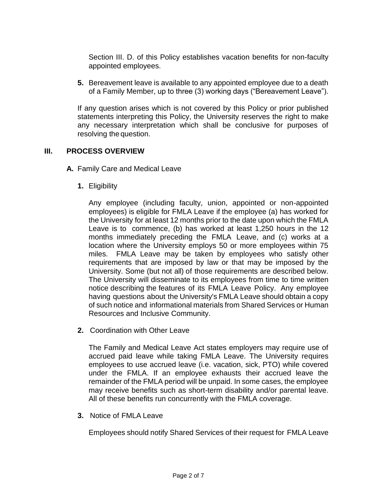Section III. D. of this Policy establishes vacation benefits for non-faculty appointed employees.

**5.** Bereavement leave is available to any appointed employee due to a death of a Family Member, up to three (3) working days ("Bereavement Leave").

If any question arises which is not covered by this Policy or prior published statements interpreting this Policy, the University reserves the right to make any necessary interpretation which shall be conclusive for purposes of resolving the question.

### **III. PROCESS OVERVIEW**

- **A.** Family Care and Medical Leave
	- **1.** Eligibility

Any employee (including faculty, union, appointed or non-appointed employees) is eligible for FMLA Leave if the employee (a) has worked for the University for at least 12 months prior to the date upon which the FMLA Leave is to commence, (b) has worked at least 1,250 hours in the 12 months immediately preceding the FMLA Leave, and (c) works at a location where the University employs 50 or more employees within 75 miles. FMLA Leave may be taken by employees who satisfy other requirements that are imposed by law or that may be imposed by the University. Some (but not all) of those requirements are described below. The University will disseminate to its employees from time to time written notice describing the features of its FMLA Leave Policy. Any employee having questions about the University's FMLA Leave should obtain a copy of such notice and informational materials from Shared Services or Human Resources and Inclusive Community.

**2.** Coordination with Other Leave

The Family and Medical Leave Act states employers may require use of accrued paid leave while taking FMLA Leave. The University requires employees to use accrued leave (i.e. vacation, sick, PTO) while covered under the FMLA. If an employee exhausts their accrued leave the remainder of the FMLA period will be unpaid. In some cases, the employee may receive benefits such as short-term disability and/or parental leave. All of these benefits run concurrently with the FMLA coverage.

**3.** Notice of FMLA Leave

Employees should notify Shared Services of their request for FMLA Leave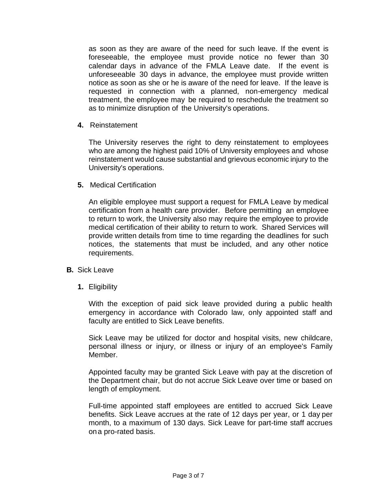as soon as they are aware of the need for such leave. If the event is foreseeable, the employee must provide notice no fewer than 30 calendar days in advance of the FMLA Leave date. If the event is unforeseeable 30 days in advance, the employee must provide written notice as soon as she or he is aware of the need for leave. If the leave is requested in connection with a planned, non-emergency medical treatment, the employee may be required to reschedule the treatment so as to minimize disruption of the University's operations.

**4.** Reinstatement

The University reserves the right to deny reinstatement to employees who are among the highest paid 10% of University employees and whose reinstatement would cause substantial and grievous economic injury to the University's operations.

**5.** Medical Certification

An eligible employee must support a request for FMLA Leave by medical certification from a health care provider. Before permitting an employee to return to work, the University also may require the employee to provide medical certification of their ability to return to work. Shared Services will provide written details from time to time regarding the deadlines for such notices, the statements that must be included, and any other notice requirements.

- **B.** Sick Leave
	- **1.** Eligibility

With the exception of paid sick leave provided during a public health emergency in accordance with Colorado law, only appointed staff and faculty are entitled to Sick Leave benefits.

Sick Leave may be utilized for doctor and hospital visits, new childcare, personal illness or injury, or illness or injury of an employee's Family Member.

Appointed faculty may be granted Sick Leave with pay at the discretion of the Department chair, but do not accrue Sick Leave over time or based on length of employment.

Full-time appointed staff employees are entitled to accrued Sick Leave benefits. Sick Leave accrues at the rate of 12 days per year, or 1 day per month, to a maximum of 130 days. Sick Leave for part-time staff accrues ona pro-rated basis.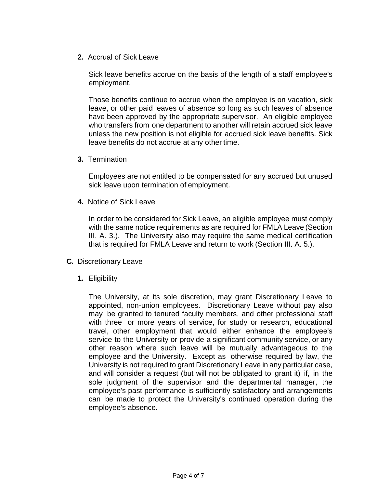**2.** Accrual of Sick Leave

Sick leave benefits accrue on the basis of the length of a staff employee's employment.

Those benefits continue to accrue when the employee is on vacation, sick leave, or other paid leaves of absence so long as such leaves of absence have been approved by the appropriate supervisor. An eligible employee who transfers from one department to another will retain accrued sick leave unless the new position is not eligible for accrued sick leave benefits. Sick leave benefits do not accrue at any other time.

**3.** Termination

Employees are not entitled to be compensated for any accrued but unused sick leave upon termination of employment.

**4.** Notice of Sick Leave

In order to be considered for Sick Leave, an eligible employee must comply with the same notice requirements as are required for FMLA Leave (Section III. A. 3.). The University also may require the same medical certification that is required for FMLA Leave and return to work (Section III. A. 5.).

- **C.** Discretionary Leave
	- **1.** Eligibility

The University, at its sole discretion, may grant Discretionary Leave to appointed, non-union employees. Discretionary Leave without pay also may be granted to tenured faculty members, and other professional staff with three or more years of service, for study or research, educational travel, other employment that would either enhance the employee's service to the University or provide a significant community service, or any other reason where such leave will be mutually advantageous to the employee and the University. Except as otherwise required by law, the University is not required to grant Discretionary Leave in any particular case, and will consider a request (but will not be obligated to grant it) if, in the sole judgment of the supervisor and the departmental manager, the employee's past performance is sufficiently satisfactory and arrangements can be made to protect the University's continued operation during the employee's absence.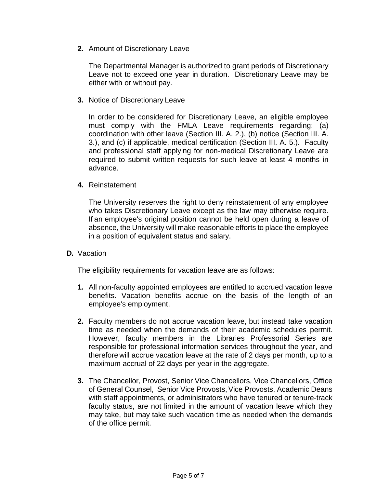**2.** Amount of Discretionary Leave

The Departmental Manager is authorized to grant periods of Discretionary Leave not to exceed one year in duration. Discretionary Leave may be either with or without pay.

**3.** Notice of Discretionary Leave

In order to be considered for Discretionary Leave, an eligible employee must comply with the FMLA Leave requirements regarding: (a) coordination with other leave (Section III. A. 2.), (b) notice (Section III. A. 3.), and (c) if applicable, medical certification (Section III. A. 5.). Faculty and professional staff applying for non-medical Discretionary Leave are required to submit written requests for such leave at least 4 months in advance.

**4.** Reinstatement

The University reserves the right to deny reinstatement of any employee who takes Discretionary Leave except as the law may otherwise require. If an employee's original position cannot be held open during a leave of absence, the University will make reasonable efforts to place the employee in a position of equivalent status and salary.

**D.** Vacation

The eligibility requirements for vacation leave are as follows:

- **1.** All non-faculty appointed employees are entitled to accrued vacation leave benefits. Vacation benefits accrue on the basis of the length of an employee's employment.
- **2.** Faculty members do not accrue vacation leave, but instead take vacation time as needed when the demands of their academic schedules permit. However, faculty members in the Libraries Professorial Series are responsible for professional information services throughout the year, and therefore will accrue vacation leave at the rate of 2 days per month, up to a maximum accrual of 22 days per year in the aggregate.
- **3.** The Chancellor, Provost, Senior Vice Chancellors, Vice Chancellors, Office of General Counsel, Senior Vice Provosts,Vice Provosts, Academic Deans with staff appointments, or administrators who have tenured or tenure-track faculty status, are not limited in the amount of vacation leave which they may take, but may take such vacation time as needed when the demands of the office permit.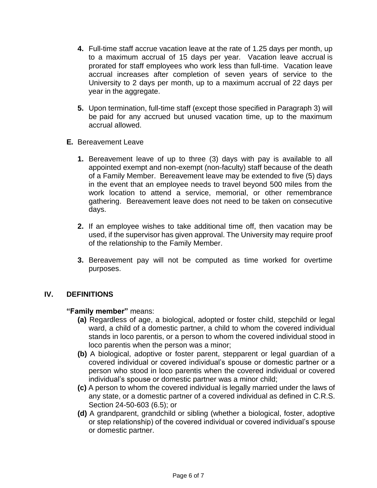- **4.** Full-time staff accrue vacation leave at the rate of 1.25 days per month, up to a maximum accrual of 15 days per year. Vacation leave accrual is prorated for staff employees who work less than full-time. Vacation leave accrual increases after completion of seven years of service to the University to 2 days per month, up to a maximum accrual of 22 days per year in the aggregate.
- **5.** Upon termination, full-time staff (except those specified in Paragraph 3) will be paid for any accrued but unused vacation time, up to the maximum accrual allowed.
- **E.** Bereavement Leave
	- **1.** Bereavement leave of up to three (3) days with pay is available to all appointed exempt and non-exempt (non-faculty) staff because of the death of a Family Member. Bereavement leave may be extended to five (5) days in the event that an employee needs to travel beyond 500 miles from the work location to attend a service, memorial, or other remembrance gathering. Bereavement leave does not need to be taken on consecutive days.
	- **2.** If an employee wishes to take additional time off, then vacation may be used, if the supervisor has given approval. The University may require proof of the relationship to the Family Member.
	- **3.** Bereavement pay will not be computed as time worked for overtime purposes.

# **IV. DEFINITIONS**

### **"Family member"** means:

- **(a)** Regardless of age, a biological, adopted or foster child, stepchild or legal ward, a child of a domestic partner, a child to whom the covered individual stands in loco parentis, or a person to whom the covered individual stood in loco parentis when the person was a minor;
- **(b)** A biological, adoptive or foster parent, stepparent or legal guardian of a covered individual or covered individual's spouse or domestic partner or a person who stood in loco parentis when the covered individual or covered individual's spouse or domestic partner was a minor child;
- **(c)** A person to whom the covered individual is legally married under the laws of any state, or a domestic partner of a covered individual as defined in C.R.S. Section 24-50-603 (6.5); or
- **(d)** A grandparent, grandchild or sibling (whether a biological, foster, adoptive or step relationship) of the covered individual or covered individual's spouse or domestic partner.